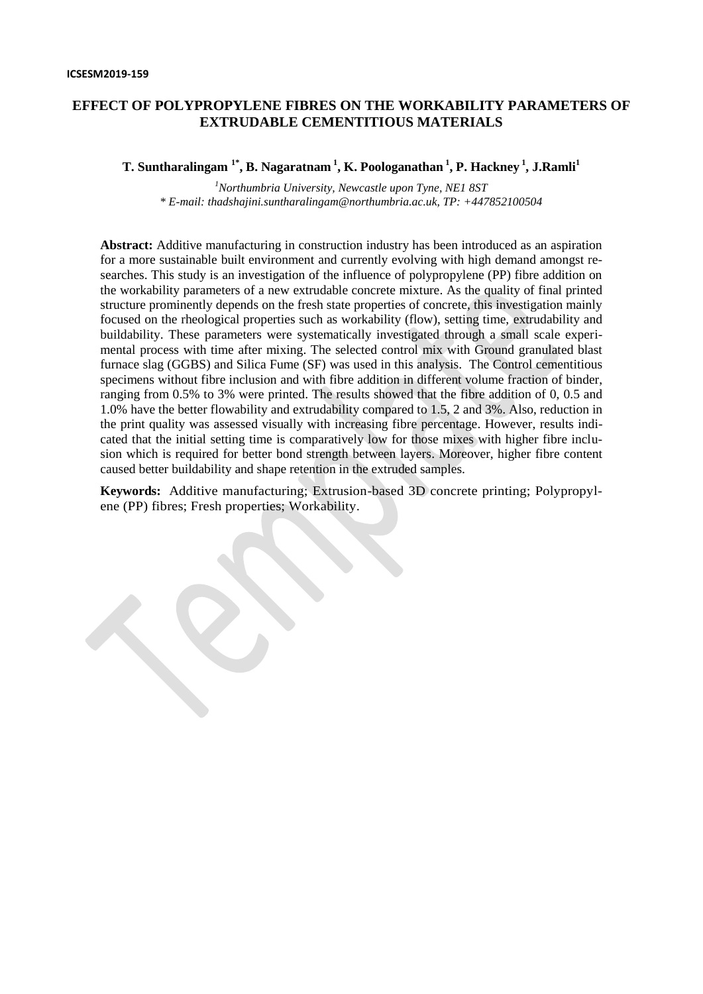# **EFFECT OF POLYPROPYLENE FIBRES ON THE WORKABILITY PARAMETERS OF EXTRUDABLE CEMENTITIOUS MATERIALS**

**T. Suntharalingam 1\*, B. Nagaratnam <sup>1</sup> , K. Poologanathan <sup>1</sup> , P. Hackney <sup>1</sup> , J.Ramli<sup>1</sup>**

*<sup>1</sup>Northumbria University, Newcastle upon Tyne, NE1 8ST \* E-mail: thadshajini.suntharalingam@northumbria.ac.uk, TP: +447852100504*

**Abstract:** Additive manufacturing in construction industry has been introduced as an aspiration for a more sustainable built environment and currently evolving with high demand amongst researches. This study is an investigation of the influence of polypropylene (PP) fibre addition on the workability parameters of a new extrudable concrete mixture. As the quality of final printed structure prominently depends on the fresh state properties of concrete, this investigation mainly focused on the rheological properties such as workability (flow), setting time, extrudability and buildability. These parameters were systematically investigated through a small scale experimental process with time after mixing. The selected control mix with Ground granulated blast furnace slag (GGBS) and Silica Fume (SF) was used in this analysis. The Control cementitious specimens without fibre inclusion and with fibre addition in different volume fraction of binder, ranging from 0.5% to 3% were printed. The results showed that the fibre addition of 0, 0.5 and 1.0% have the better flowability and extrudability compared to 1.5, 2 and 3%. Also, reduction in the print quality was assessed visually with increasing fibre percentage. However, results indicated that the initial setting time is comparatively low for those mixes with higher fibre inclusion which is required for better bond strength between layers. Moreover, higher fibre content caused better buildability and shape retention in the extruded samples.

**Keywords:** Additive manufacturing; Extrusion-based 3D concrete printing; Polypropylene (PP) fibres; Fresh properties; Workability.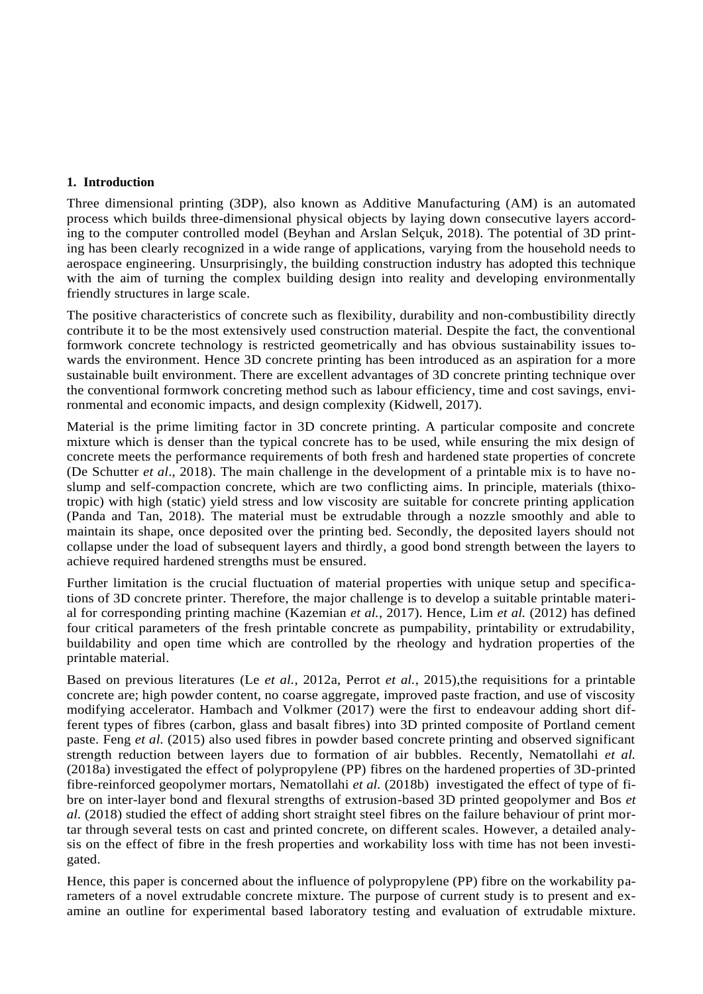### **1. Introduction**

Three dimensional printing (3DP), also known as Additive Manufacturing (AM) is an automated process which builds three-dimensional physical objects by laying down consecutive layers according to the computer controlled model (Beyhan and Arslan Selçuk, 2018). The potential of 3D printing has been clearly recognized in a wide range of applications, varying from the household needs to aerospace engineering. Unsurprisingly, the building construction industry has adopted this technique with the aim of turning the complex building design into reality and developing environmentally friendly structures in large scale.

The positive characteristics of concrete such as flexibility, durability and non-combustibility directly contribute it to be the most extensively used construction material. Despite the fact, the conventional formwork concrete technology is restricted geometrically and has obvious sustainability issues towards the environment. Hence 3D concrete printing has been introduced as an aspiration for a more sustainable built environment. There are excellent advantages of 3D concrete printing technique over the conventional formwork concreting method such as labour efficiency, time and cost savings, environmental and economic impacts, and design complexity (Kidwell, 2017).

Material is the prime limiting factor in 3D concrete printing. A particular composite and concrete mixture which is denser than the typical concrete has to be used, while ensuring the mix design of concrete meets the performance requirements of both fresh and hardened state properties of concrete (De Schutter *et al*., 2018). The main challenge in the development of a printable mix is to have noslump and self-compaction concrete, which are two conflicting aims. In principle, materials (thixotropic) with high (static) yield stress and low viscosity are suitable for concrete printing application (Panda and Tan, 2018). The material must be extrudable through a nozzle smoothly and able to maintain its shape, once deposited over the printing bed. Secondly, the deposited layers should not collapse under the load of subsequent layers and thirdly, a good bond strength between the layers to achieve required hardened strengths must be ensured.

Further limitation is the crucial fluctuation of material properties with unique setup and specifications of 3D concrete printer. Therefore, the major challenge is to develop a suitable printable material for corresponding printing machine (Kazemian *et al.*, 2017). Hence, Lim *et al.* (2012) has defined four critical parameters of the fresh printable concrete as pumpability, printability or extrudability, buildability and open time which are controlled by the rheology and hydration properties of the printable material.

Based on previous literatures (Le *et al.*, 2012a, Perrot *et al.*, 2015),the requisitions for a printable concrete are; high powder content, no coarse aggregate, improved paste fraction, and use of viscosity modifying accelerator. Hambach and Volkmer (2017) were the first to endeavour adding short different types of fibres (carbon, glass and basalt fibres) into 3D printed composite of Portland cement paste. Feng *et al.* (2015) also used fibres in powder based concrete printing and observed significant strength reduction between layers due to formation of air bubbles. Recently, Nematollahi *et al.* (2018a) investigated the effect of polypropylene (PP) fibres on the hardened properties of 3D-printed fibre-reinforced geopolymer mortars, Nematollahi *et al.* (2018b) investigated the effect of type of fibre on inter-layer bond and flexural strengths of extrusion-based 3D printed geopolymer and Bos *et al.* (2018) studied the effect of adding short straight steel fibres on the failure behaviour of print mortar through several tests on cast and printed concrete, on different scales. However, a detailed analysis on the effect of fibre in the fresh properties and workability loss with time has not been investigated.

Hence, this paper is concerned about the influence of polypropylene (PP) fibre on the workability parameters of a novel extrudable concrete mixture. The purpose of current study is to present and examine an outline for experimental based laboratory testing and evaluation of extrudable mixture.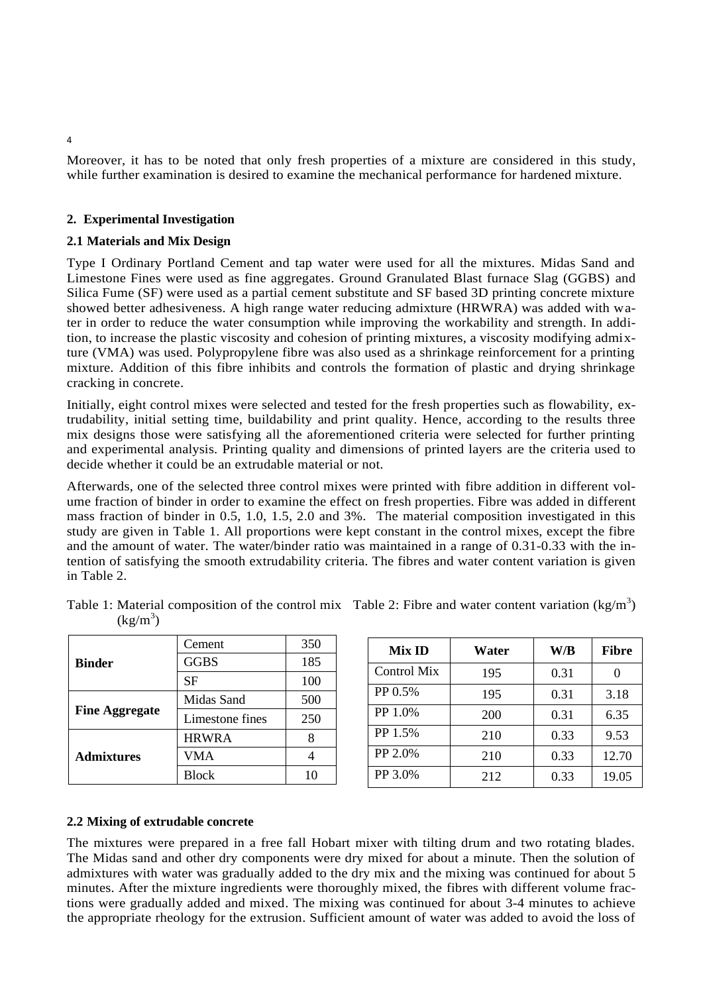Moreover, it has to be noted that only fresh properties of a mixture are considered in this study, while further examination is desired to examine the mechanical performance for hardened mixture.

### **2. Experimental Investigation**

#### **2.1 Materials and Mix Design**

Type I Ordinary Portland Cement and tap water were used for all the mixtures. Midas Sand and Limestone Fines were used as fine aggregates. Ground Granulated Blast furnace Slag (GGBS) and Silica Fume (SF) were used as a partial cement substitute and SF based 3D printing concrete mixture showed better adhesiveness. A high range water reducing admixture (HRWRA) was added with water in order to reduce the water consumption while improving the workability and strength. In addition, to increase the plastic viscosity and cohesion of printing mixtures, a viscosity modifying admixture (VMA) was used. Polypropylene fibre was also used as a shrinkage reinforcement for a printing mixture. Addition of this fibre inhibits and controls the formation of plastic and drying shrinkage cracking in concrete.

Initially, eight control mixes were selected and tested for the fresh properties such as flowability, extrudability, initial setting time, buildability and print quality. Hence, according to the results three mix designs those were satisfying all the aforementioned criteria were selected for further printing and experimental analysis. Printing quality and dimensions of printed layers are the criteria used to decide whether it could be an extrudable material or not.

Afterwards, one of the selected three control mixes were printed with fibre addition in different volume fraction of binder in order to examine the effect on fresh properties. Fibre was added in different mass fraction of binder in 0.5, 1.0, 1.5, 2.0 and 3%. The material composition investigated in this study are given in Table 1. All proportions were kept constant in the control mixes, except the fibre and the amount of water. The water/binder ratio was maintained in a range of 0.31-0.33 with the intention of satisfying the smooth extrudability criteria. The fibres and water content variation is given in Table 2.

| <b>Binder</b>         | Cement          | 350 |
|-----------------------|-----------------|-----|
|                       | <b>GGBS</b>     | 185 |
|                       | <b>SF</b>       | 100 |
| <b>Fine Aggregate</b> | Midas Sand      | 500 |
|                       | Limestone fines | 250 |
| <b>Admixtures</b>     | <b>HRWRA</b>    |     |
|                       | VMA             |     |
|                       | Block           |     |

| Mix ID      | Water | W/B  | <b>Fibre</b> |
|-------------|-------|------|--------------|
| Control Mix | 195   | 0.31 |              |
| PP 0.5%     | 195   | 0.31 | 3.18         |
| PP 1.0%     | 200   | 0.31 | 6.35         |
| PP 1.5%     | 210   | 0.33 | 9.53         |
| PP 2.0%     | 210   | 0.33 | 12.70        |
| PP 3.0%     | 212   | 0.33 | 19.05        |

#### Table 1: Material composition of the control mix Table 2: Fibre and water content variation (kg/m<sup>3</sup>)  $(kg/m^3)$ ) and the set of  $\mathcal{L}$

#### **2.2 Mixing of extrudable concrete**

The mixtures were prepared in a free fall Hobart mixer with tilting drum and two rotating blades. The Midas sand and other dry components were dry mixed for about a minute. Then the solution of admixtures with water was gradually added to the dry mix and the mixing was continued for about 5 minutes. After the mixture ingredients were thoroughly mixed, the fibres with different volume fractions were gradually added and mixed. The mixing was continued for about 3-4 minutes to achieve the appropriate rheology for the extrusion. Sufficient amount of water was added to avoid the loss of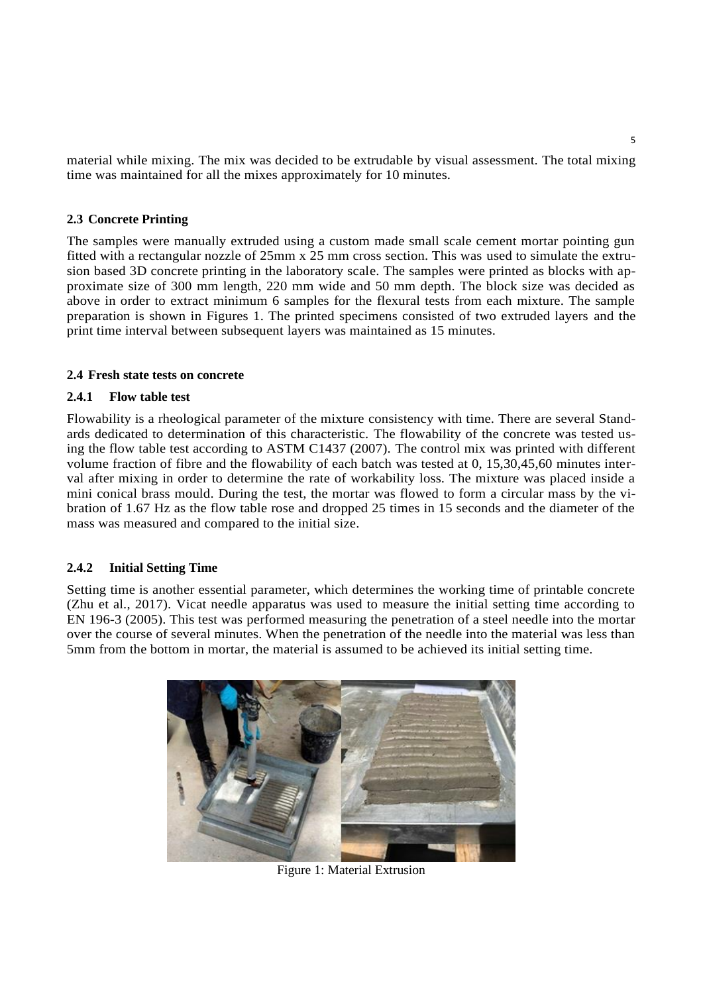material while mixing. The mix was decided to be extrudable by visual assessment. The total mixing time was maintained for all the mixes approximately for 10 minutes.

# **2.3 Concrete Printing**

The samples were manually extruded using a custom made small scale cement mortar pointing gun fitted with a rectangular nozzle of 25mm x 25 mm cross section. This was used to simulate the extrusion based 3D concrete printing in the laboratory scale. The samples were printed as blocks with approximate size of 300 mm length, 220 mm wide and 50 mm depth. The block size was decided as above in order to extract minimum 6 samples for the flexural tests from each mixture. The sample preparation is shown in Figures 1. The printed specimens consisted of two extruded layers and the print time interval between subsequent layers was maintained as 15 minutes.

## **2.4 Fresh state tests on concrete**

## **2.4.1 Flow table test**

Flowability is a rheological parameter of the mixture consistency with time. There are several Standards dedicated to determination of this characteristic. The flowability of the concrete was tested using the flow table test according to ASTM C1437 (2007). The control mix was printed with different volume fraction of fibre and the flowability of each batch was tested at 0, 15,30,45,60 minutes interval after mixing in order to determine the rate of workability loss. The mixture was placed inside a mini conical brass mould. During the test, the mortar was flowed to form a circular mass by the vibration of 1.67 Hz as the flow table rose and dropped 25 times in 15 seconds and the diameter of the mass was measured and compared to the initial size.

## **2.4.2 Initial Setting Time**

Setting time is another essential parameter, which determines the working time of printable concrete (Zhu et al., 2017). Vicat needle apparatus was used to measure the initial setting time according to EN 196-3 (2005). This test was performed measuring the penetration of a steel needle into the mortar over the course of several minutes. When the penetration of the needle into the material was less than 5mm from the bottom in mortar, the material is assumed to be achieved its initial setting time.



Figure 1: Material Extrusion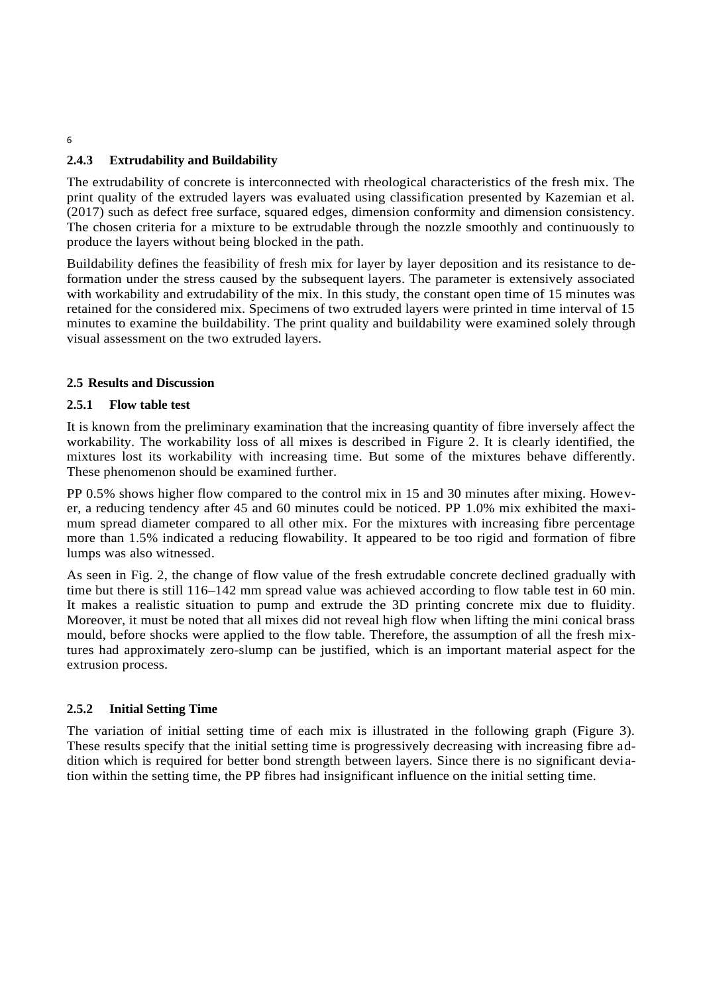# **2.4.3 Extrudability and Buildability**

The extrudability of concrete is interconnected with rheological characteristics of the fresh mix. The print quality of the extruded layers was evaluated using classification presented by Kazemian et al. (2017) such as defect free surface, squared edges, dimension conformity and dimension consistency. The chosen criteria for a mixture to be extrudable through the nozzle smoothly and continuously to produce the layers without being blocked in the path.

Buildability defines the feasibility of fresh mix for layer by layer deposition and its resistance to deformation under the stress caused by the subsequent layers. The parameter is extensively associated with workability and extrudability of the mix. In this study, the constant open time of 15 minutes was retained for the considered mix. Specimens of two extruded layers were printed in time interval of 15 minutes to examine the buildability. The print quality and buildability were examined solely through visual assessment on the two extruded layers.

# **2.5 Results and Discussion**

# **2.5.1 Flow table test**

It is known from the preliminary examination that the increasing quantity of fibre inversely affect the workability. The workability loss of all mixes is described in Figure 2. It is clearly identified, the mixtures lost its workability with increasing time. But some of the mixtures behave differently. These phenomenon should be examined further.

PP 0.5% shows higher flow compared to the control mix in 15 and 30 minutes after mixing. However, a reducing tendency after 45 and 60 minutes could be noticed. PP 1.0% mix exhibited the maximum spread diameter compared to all other mix. For the mixtures with increasing fibre percentage more than 1.5% indicated a reducing flowability. It appeared to be too rigid and formation of fibre lumps was also witnessed.

As seen in Fig. 2, the change of flow value of the fresh extrudable concrete declined gradually with time but there is still 116–142 mm spread value was achieved according to flow table test in 60 min. It makes a realistic situation to pump and extrude the 3D printing concrete mix due to fluidity. Moreover, it must be noted that all mixes did not reveal high flow when lifting the mini conical brass mould, before shocks were applied to the flow table. Therefore, the assumption of all the fresh mixtures had approximately zero-slump can be justified, which is an important material aspect for the extrusion process.

## **2.5.2 Initial Setting Time**

The variation of initial setting time of each mix is illustrated in the following graph (Figure 3). These results specify that the initial setting time is progressively decreasing with increasing fibre addition which is required for better bond strength between layers. Since there is no significant deviation within the setting time, the PP fibres had insignificant influence on the initial setting time.

6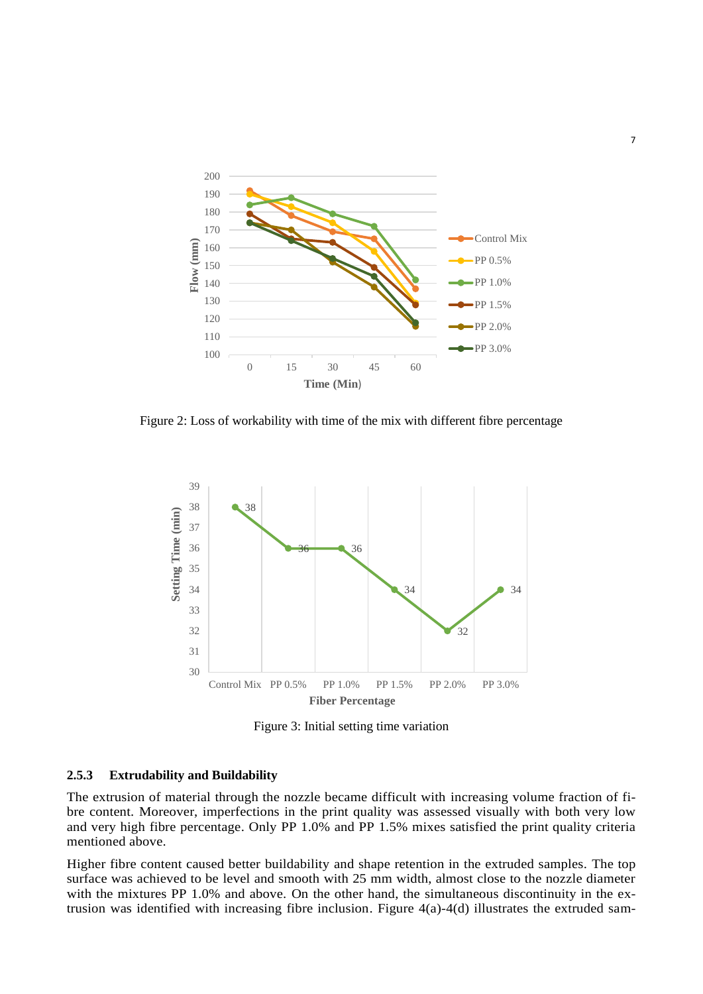

Figure 2: Loss of workability with time of the mix with different fibre percentage



Figure 3: Initial setting time variation

#### **2.5.3 Extrudability and Buildability**

The extrusion of material through the nozzle became difficult with increasing volume fraction of fibre content. Moreover, imperfections in the print quality was assessed visually with both very low and very high fibre percentage. Only PP 1.0% and PP 1.5% mixes satisfied the print quality criteria mentioned above.

Higher fibre content caused better buildability and shape retention in the extruded samples. The top surface was achieved to be level and smooth with 25 mm width, almost close to the nozzle diameter with the mixtures PP 1.0% and above. On the other hand, the simultaneous discontinuity in the extrusion was identified with increasing fibre inclusion. Figure 4(a)-4(d) illustrates the extruded sam-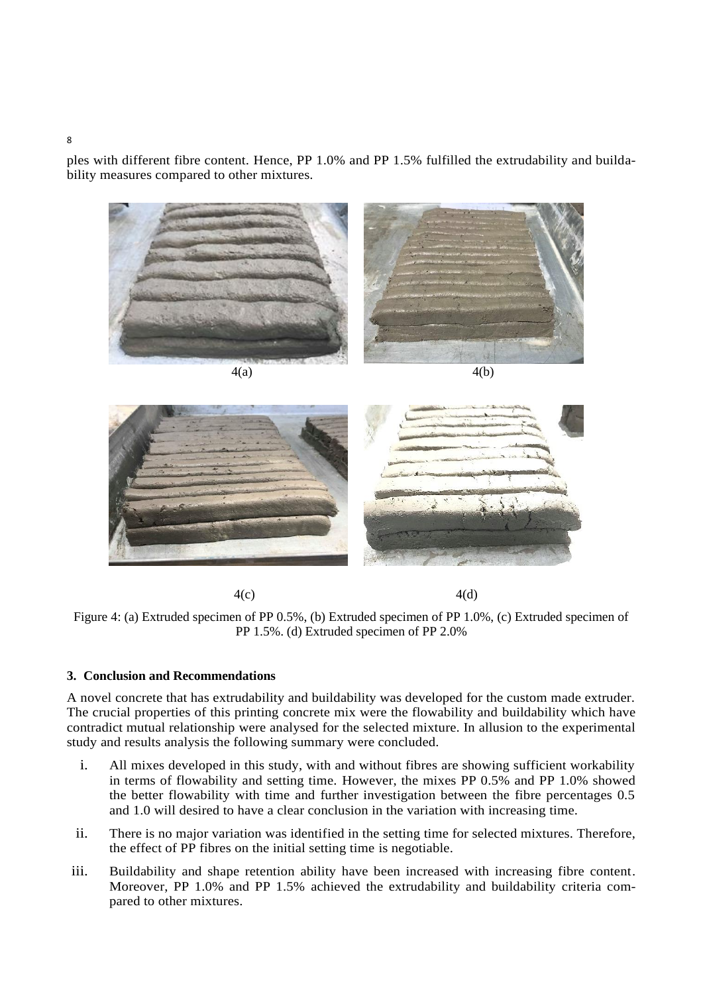ples with different fibre content. Hence, PP 1.0% and PP 1.5% fulfilled the extrudability and buildability measures compared to other mixtures.





 $4(c)$  4(d)



#### **3. Conclusion and Recommendations**

A novel concrete that has extrudability and buildability was developed for the custom made extruder. The crucial properties of this printing concrete mix were the flowability and buildability which have contradict mutual relationship were analysed for the selected mixture. In allusion to the experimental study and results analysis the following summary were concluded.

- i. All mixes developed in this study, with and without fibres are showing sufficient workability in terms of flowability and setting time. However, the mixes PP 0.5% and PP 1.0% showed the better flowability with time and further investigation between the fibre percentages 0.5 and 1.0 will desired to have a clear conclusion in the variation with increasing time.
- ii. There is no major variation was identified in the setting time for selected mixtures. Therefore, the effect of PP fibres on the initial setting time is negotiable.
- iii. Buildability and shape retention ability have been increased with increasing fibre content. Moreover, PP 1.0% and PP 1.5% achieved the extrudability and buildability criteria compared to other mixtures.

8